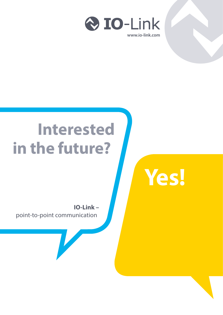

# **Interested in the future?**



**IO-Link –** point-to-point communication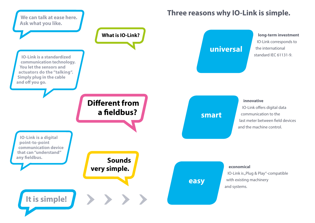**long-term investment** IO-Link corresponds to the international standard IEC 61131-9.

IO-Link is "Plug & Play"-compatible with existing machinery

 **innovative** IO-Link offers digital data communication to the last meter between field devices and the machine control.

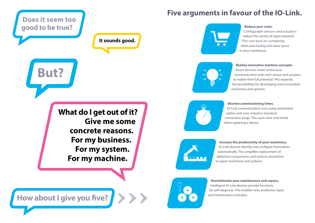#### **Revolutionize your maintenance and repairs.**

Intelligent IO-Link devices provide functions for self-diagnosis. This enables new, predictive repair

### **Increase the productivity of your machinery.**

IO-Link devices identify and configure themselves automatically. This simplifies replacement of defective components and reduces downtime to repair machinery and systems.

#### **Shorten commissioning times.**

IO-Link communication runs using unshielded cables and uses industry-standard connection plugs. This saves time and hassle when replacing a device.



#### **Realize innovative machine concepts.**

Smart devices need continuous communication with each sensor and actuator to realize their full potential. This expands the possibilities for developing more innovative machinery and systems.

### **Reduce your costs.**

Configurable sensors and actuators reduce the variety of types required. This cuts back on complexity when purchasing and saves space in your warehouse.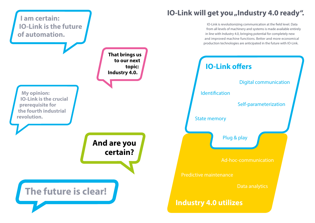